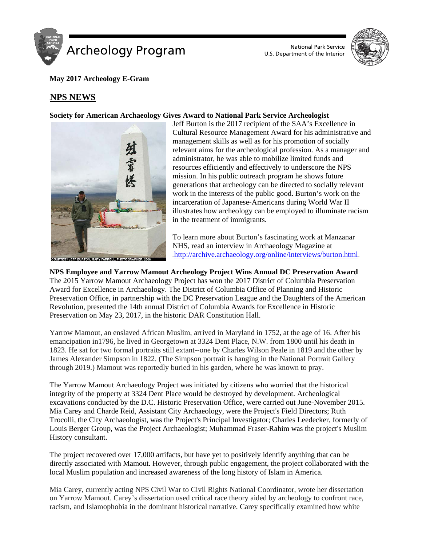



**May 2017 Archeology E-Gram**

# <sup>U</sup>**NPS NEWS**

## **Society for American Archaeology Gives Award to National Park Service Archeologist**



Jeff Burton is the 2017 recipient of the SAA's Excellence in Cultural Resource Management Award for his administrative and management skills as well as for his promotion of socially relevant aims for the archeological profession. As a manager and administrator, he was able to mobilize limited funds and resources efficiently and effectively to underscore the NPS mission. In his public outreach program he shows future generations that archeology can be directed to socially relevant work in the interests of the public good. Burton's work on the incarceration of Japanese-Americans during World War II illustrates how archeology can be employed to illuminate racism in the treatment of immigrants.

To learn more about Burton's fascinating work at Manzanar NHS, read an interview in Archaeology Magazine at  $a$ http://archive.archaeology.org/online/interviews/burton.html

**NPS Employee and Yarrow Mamout Archeology Project Wins Annual DC Preservation Award** The 2015 Yarrow Mamout Archaeology Project has won the 2017 District of Columbia Preservation Award for Excellence in Archaeology. The District of Columbia Office of Planning and Historic Preservation Office, in partnership with the DC Preservation League and the Daughters of the American Revolution, presented the 14th annual District of Columbia Awards for Excellence in Historic Preservation on May 23, 2017, in the historic DAR Constitution Hall.

Yarrow Mamout, an enslaved African Muslim, arrived in Maryland in 1752, at the age of 16. After his emancipation in1796, he lived in Georgetown at 3324 Dent Place, N.W. from 1800 until his death in 1823. He sat for two formal portraits still extant--one by Charles Wilson Peale in 1819 and the other by James Alexander Simpson in 1822. (The Simpson portrait is hanging in the National Portrait Gallery through 2019.) Mamout was reportedly buried in his garden, where he was known to pray.

The Yarrow Mamout Archaeology Project was initiated by citizens who worried that the historical integrity of the property at 3324 Dent Place would be destroyed by development. Archeological excavations conducted by the D.C. Historic Preservation Office, were carried out June-November 2015. Mia Carey and Charde Reid, Assistant City Archaeology, were the Project's Field Directors; Ruth Trocolli, the City Archaeologist, was the Project's Principal Investigator; Charles Leedecker, formerly of Louis Berger Group, was the Project Archaeologist; Muhammad Fraser-Rahim was the project's Muslim History consultant.

The project recovered over 17,000 artifacts, but have yet to positively identify anything that can be directly associated with Mamout. However, through public engagement, the project collaborated with the local Muslim population and increased awareness of the long history of Islam in America.

Mia Carey, currently acting NPS Civil War to Civil Rights National Coordinator, wrote her dissertation on Yarrow Mamout. Carey's dissertation used critical race theory aided by archeology to confront race, racism, and Islamophobia in the dominant historical narrative. Carey specifically examined how white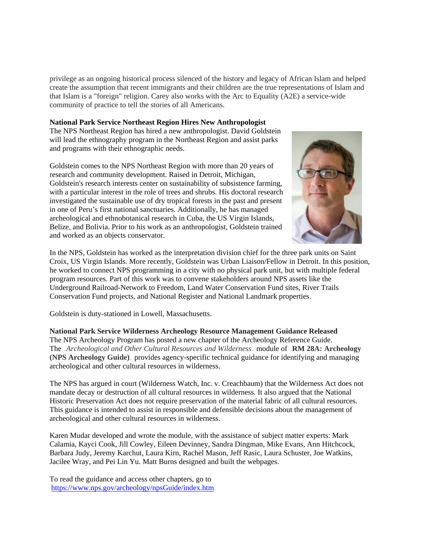privilege as an ongoing historical process silenced of the history and legacy of African Islam and helped create the assumption that recent immigrants and their children are the true representations of Islam and that Islam is a "foreign" religion. Carey also works with the Arc to Equality (A2E) a service-wide community of practice to tell the stories of all Americans.

### **National Park Service Northeast Region Hires New Anthropologist**

The NPS Northeast Region has hired a new anthropologist. David Goldstein will lead the ethnography program in the Northeast Region and assist parks and programs with their ethnographic needs.

Goldstein comes to the NPS Northeast Region with more than 20 years of research and community development. Raised in Detroit, Michigan, Goldstein's research interests center on sustainability of subsistence farming, with a particular interest in the role of trees and shrubs. His doctoral research investigated the sustainable use of dry tropical forests in the past and present in one of Peru's first national sanctuaries. Additionally, he has managed archeological and ethnobotanical research in Cuba, the US Virgin Islands, Belize, and Bolivia. Prior to his work as an anthropologist, Goldstein trained and worked as an objects conservator.



In the NPS, Goldstein has worked as the interpretation division chief for the three park units on Saint Croix, US Virgin Islands. More recently, Goldstein was Urban Liaison/Fellow in Detroit. In this position, he worked to connect NPS programming in a city with no physical park unit, but with multiple federal program resources. Part of this work was to convene stakeholders around NPS assets like the Underground Railroad-Network to Freedom, Land Water Conservation Fund sites, River Trails Conservation Fund projects, and National Register and National Landmark properties...

Goldstein is duty-stationed in Lowell, Massachusetts.

**National Park Service Wilderness Archeology Resource Management Guidance Released** The NPS Archeology Program has posted a new chapter of the Archeology Reference Guide. The Archeological and Other Cultural Resources and Wilderness<sub>-</sub> module of RM 28A: Archeology **(NPS Archeology Guide)** provides agency-specific technical guidance for identifying and managing archeological and other cultural resources in wilderness.

The NPS has argued in court (Wilderness Watch, Inc. v. Creachbaum) that the Wilderness Act does not mandate decay or destruction of all cultural resources in wilderness. It also argued that the National Historic Preservation Act does not require preservation of the material fabric of all cultural resources. This guidance is intended to assist in responsible and defensible decisions about the management of archeological and other cultural resources in wilderness.

Karen Mudar developed and wrote the module, with the assistance of subject matter experts: Mark Calamia, Kayci Cook, Jill Cowley, Eileen Devinney, Sandra Dingman, Mike Evans, Ann Hitchcock, Barbara Judy, Jeremy Karchut, Laura Kirn, Rachel Mason, Jeff Rasic, Laura Schuster, Joe Watkins, Jacilee Wray, and Pei Lin Yu. Matt Burns designed and built the webpages.

To read the guidance and access other chapters, go to https://www.nps.gov/archeology/npsGuide/index.htm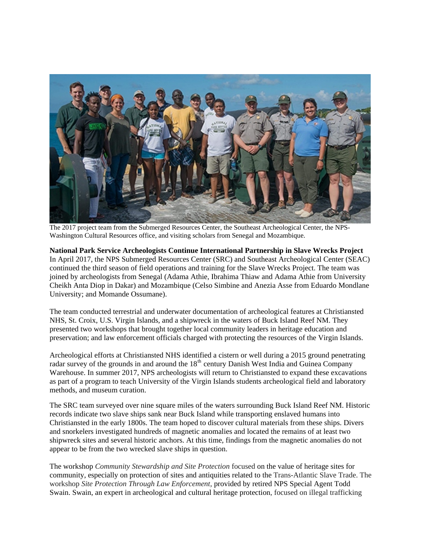

The 2017 project team from the Submerged Resources Center, the Southeast Archeological Center, the NPS-Washington Cultural Resources office, and visiting scholars from Senegal and Mozambique.

**National Park Service Archeologists Continue International Partnership in Slave Wrecks Project** In April 2017, the NPS Submerged Resources Center (SRC) and Southeast Archeological Center (SEAC) continued the third season of field operations and training for the Slave Wrecks Project. The team was joined by archeologists from Senegal (Adama Athie, Ibrahima Thiaw and Adama Athie from University Cheikh Anta Diop in Dakar) and Mozambique (Celso Simbine and Anezia Asse from Eduardo Mondlane University; and Momande Ossumane).

The team conducted terrestrial and underwater documentation of archeological features at Christiansted NHS, St. Croix, U.S. Virgin Islands, and a shipwreck in the waters of Buck Island Reef NM. They presented two workshops that brought together local community leaders in heritage education and preservation; and law enforcement officials charged with protecting the resources of the Virgin Islands.

Archeological efforts at Christiansted NHS identified a cistern or well during a 2015 ground penetrating radar survey of the grounds in and around the 18<sup>th</sup> century Danish West India and Guinea Company Warehouse. In summer 2017, NPS archeologists will return to Christiansted to expand these excavations as part of a program to teach University of the Virgin Islands students archeological field and laboratory methods, and museum curation.

The SRC team surveyed over nine square miles of the waters surrounding Buck Island Reef NM. Historic records indicate two slave ships sank near Buck Island while transporting enslaved humans into Christiansted in the early 1800s. The team hoped to discover cultural materials from these ships. Divers and snorkelers investigated hundreds of magnetic anomalies and located the remains of at least two shipwreck sites and several historic anchors. At this time, findings from the magnetic anomalies do not appear to be from the two wrecked slave ships in question.

The workshop *Community Stewardship and Site Protection* focused on the value of heritage sites for community, especially on protection of sites and antiquities related to the Trans-Atlantic Slave Trade. The workshop *Site Protection Through Law Enforcement*, provided by retired NPS Special Agent Todd Swain. Swain, an expert in archeological and cultural heritage protection, focused on illegal trafficking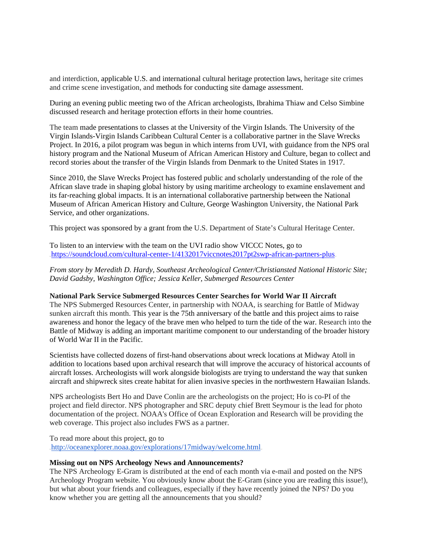and interdiction, applicable U.S. and international cultural heritage protection laws, heritage site crimes and crime scene investigation, and methods for conducting site damage assessment.

During an evening public meeting two of the African archeologists, Ibrahima Thiaw and Celso Simbine discussed research and heritage protection efforts in their home countries.

The team made presentations to classes at the University of the Virgin Islands. The University of the Virgin Islands-Virgin Islands Caribbean Cultural Center is a collaborative partner in the Slave Wrecks Project. In 2016, a pilot program was begun in which interns from UVI, with guidance from the NPS oral history program and the National Museum of African American History and Culture, began to collect and record stories about the transfer of the Virgin Islands from Denmark to the United States in 1917.

Since 2010, the Slave Wrecks Project has fostered public and scholarly understanding of the role of the African slave trade in shaping global history by using maritime archeology to examine enslavement and its far-reaching global impacts. It is an international collaborative partnership between the National Museum of African American History and Culture, George Washington University, the National Park Service, and other organizations.

This project was sponsored by a grant from the U.S. Department of State's Cultural Heritage Center.

To listen to an interview with the team on the UVI radio show VICCC Notes, go to https://soundcloud.com/cultural-center-1/4132017viccnotes2017pt2swp-african-partners-plus

*From story by Meredith D. Hardy, Southeast Archeological Center/Christiansted National Historic Site; David Gadsby, Washington Office; Jessica Keller, Submerged Resources Center*

#### **National Park Service Submerged Resources Center Searches for World War II Aircraft**

The NPS Submerged Resources Center, in partnership with NOAA, is searching for Battle of Midway sunken aircraft this month. This year is the 75th anniversary of the battle and this project aims to raise awareness and honor the legacy of the brave men who helped to turn the tide of the war. Research into the Battle of Midway is adding an important maritime component to our understanding of the broader history of World War II in the Pacific.

Scientists have collected dozens of first-hand observations about wreck locations at Midway Atoll in addition to locations based upon archival research that will improve the accuracy of historical accounts of aircraft losses. Archeologists will work alongside biologists are trying to understand the way that sunken aircraft and shipwreck sites create habitat for alien invasive species in the northwestern Hawaiian Islands.

NPS archeologists Bert Ho and Dave Conlin are the archeologists on the project; Ho is co-PI of the project and field director. NPS photographer and SRC deputy chief Brett Seymour is the lead for photo documentation of the project. NOAA's Office of Ocean Exploration and Research will be providing the web coverage. This project also includes FWS as a partner.

To read more about this project, go to http://oceanexplorer.noaa.gov/explorations/17midway/welcome.html

#### **Missing out on NPS Archeology News and Announcements?**

The NPS Archeology E-Gram is distributed at the end of each month via e-mail and posted on the NPS Archeology Program website. You obviously know about the E-Gram (since you are reading this issue!), but what about your friends and colleagues, especially if they have recently joined the NPS? Do you know whether you are getting all the announcements that you should?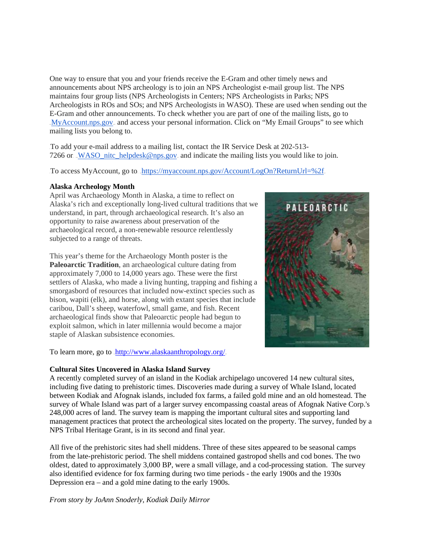One way to ensure that you and your friends receive the E-Gram and other timely news and announcements about NPS archeology is to join an NPS Archeologist e-mail group list. The NPS maintains four group lists (NPS Archeologists in Centers; NPS Archeologists in Parks; NPS Archeologists in ROs and SOs; and NPS Archeologists in WASO). These are used when sending out the E-Gram and other announcements. To check whether you are part of one of the mailing lists, go to MyAccount.nps.gov<sub>-</sub> and access your personal information. Click on "My Email Groups" to see which mailing lists you belong to.

To add your e-mail address to a mailing list, contact the IR Service Desk at 202-513-7266 or. WASO nitc\_helpdesk@nps.gov. and indicate the mailing lists you would like to join.

To access MyAccount, go to. https://myaccount.nps.gov/Account/LogOn?ReturnUrl=%2f

## **Alaska Archeology Month**

April was Archaeology Month in Alaska, a time to reflect on Alaska's rich and exceptionally long-lived cultural traditions that we understand, in part, through archaeological research. It's also an opportunity to raise awareness about preservation of the archaeological record, a non-renewable resource relentlessly subjected to a range of threats.

This year's theme for the Archaeology Month poster is the **Paleoarctic Tradition**, an archaeological culture dating from approximately 7,000 to 14,000 years ago. These were the first settlers of Alaska, who made a living hunting, trapping and fishing a smorgasbord of resources that included now-extinct species such as bison, wapiti (elk), and horse, along with extant species that include caribou, Dall's sheep, waterfowl, small game, and fish. Recent archaeological finds show that Paleoarctic people had begun to exploit salmon, which in later millennia would become a major staple of Alaskan subsistence economies.

To learn more, go to .http://www.alaskaanthropology.org/

## **Cultural Sites Uncovered in Alaska Island Survey**

A recently completed survey of an island in the Kodiak archipelago uncovered 14 new cultural sites, including five dating to prehistoric times. Discoveries made during a survey of Whale Island, located between Kodiak and Afognak islands, included fox farms, a failed gold mine and an old homestead. The survey of Whale Island was part of a larger survey encompassing coastal areas of Afognak Native Corp.'s 248,000 acres of land. The survey team is mapping the important cultural sites and supporting land management practices that protect the archeological sites located on the property. The survey, funded by a NPS Tribal Heritage Grant, is in its second and final year.

All five of the prehistoric sites had shell middens. Three of these sites appeared to be seasonal camps from the late-prehistoric period. The shell middens contained gastropod shells and cod bones. The two oldest, dated to approximately 3,000 BP, were a small village, and a cod-processing station. The survey also identified evidence for fox farming during two time periods - the early 1900s and the 1930s Depression era – and a gold mine dating to the early 1900s.

*From story by JoAnn Snoderly, Kodiak Daily Mirror*

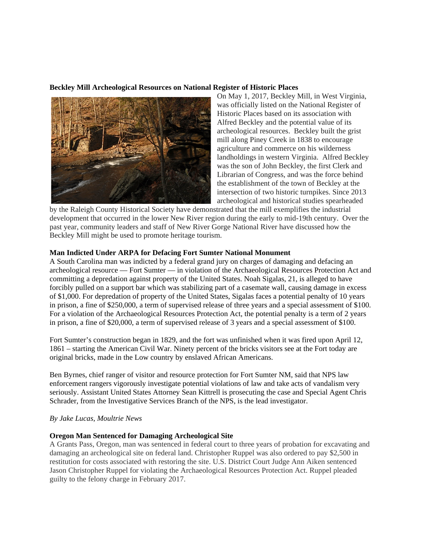## **Beckley Mill Archeological Resources on National Register of Historic Places**



On May 1, 2017, Beckley Mill, in West Virginia, was officially listed on the National Register of Historic Places based on its association with Alfred Beckley and the potential value of its archeological resources. Beckley built the grist mill along Piney Creek in 1838 to encourage agriculture and commerce on his wilderness landholdings in western Virginia. Alfred Beckley was the son of John Beckley, the first Clerk and Librarian of Congress, and was the force behind the establishment of the town of Beckley at the intersection of two historic turnpikes. Since 2013 archeological and historical studies spearheaded

by the Raleigh County Historical Society have demonstrated that the mill exemplifies the industrial development that occurred in the lower New River region during the early to mid-19th century. Over the past year, community leaders and staff of New River Gorge National River have discussed how the Beckley Mill might be used to promote heritage tourism.

#### **Man Indicted Under ARPA for Defacing Fort Sumter National Monument**

A South Carolina man was indicted by a federal grand jury on charges of damaging and defacing an archeological resource — Fort Sumter — in violation of the Archaeological Resources Protection Act and committing a depredation against property of the United States. Noah Sigalas, 21, is alleged to have forcibly pulled on a support bar which was stabilizing part of a casemate wall, causing damage in excess of \$1,000. For depredation of property of the United States, Sigalas faces a potential penalty of 10 years in prison, a fine of \$250,000, a term of supervised release of three years and a special assessment of \$100. For a violation of the Archaeological Resources Protection Act, the potential penalty is a term of 2 years in prison, a fine of \$20,000, a term of supervised release of 3 years and a special assessment of \$100.

Fort Sumter's construction began in 1829, and the fort was unfinished when it was fired upon April 12, 1861 – starting the American Civil War. Ninety percent of the bricks visitors see at the Fort today are original bricks, made in the Low country by enslaved African Americans.

Ben Byrnes, chief ranger of visitor and resource protection for Fort Sumter NM, said that NPS law enforcement rangers vigorously investigate potential violations of law and take acts of vandalism very seriously. Assistant United States Attorney Sean Kittrell is prosecuting the case and Special Agent Chris Schrader, from the Investigative Services Branch of the NPS, is the lead investigator.

#### *By Jake Lucas, Moultrie News*

#### **Oregon Man Sentenced for Damaging Archeological Site**

A Grants Pass, Oregon, man was sentenced in federal court to three years of probation for excavating and damaging an archeological site on federal land. Christopher Ruppel was also ordered to pay \$2,500 in restitution for costs associated with restoring the site. U.S. District Court Judge Ann Aiken sentenced Jason Christopher Ruppel for violating the Archaeological Resources Protection Act. Ruppel pleaded guilty to the felony charge in February 2017.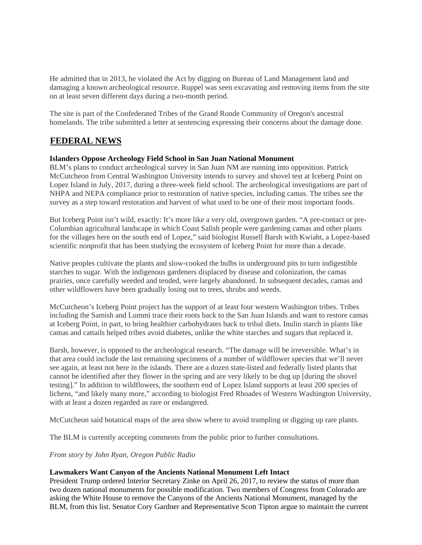He admitted that in 2013, he violated the Act by digging on Bureau of Land Management land and damaging a known archeological resource. Ruppel was seen excavating and removing items from the site on at least seven different days during a two-month period.

The site is part of the Confederated Tribes of the Grand Ronde Community of Oregon's ancestral homelands. The tribe submitted a letter at sentencing expressing their concerns about the damage done.

## **FEDERAL NEWS**

## **Islanders Oppose Archeology Field School in San Juan National Monument**

BLM's plans to conduct archeological survey in San Juan NM are running into opposition. Patrick McCutcheon from Central Washington University intends to survey and shovel test at Iceberg Point on Lopez Island in July, 2017, during a three-week field school. The archeological investigations are part of NHPA and NEPA compliance prior to restoration of native species, including camas. The tribes see the survey as a step toward restoration and harvest of what used to be one of their most important foods.

But Iceberg Point isn't wild, exactly: It's more like a very old, overgrown garden. "A pre-contact or pre-Columbian agricultural landscape in which Coast Salish people were gardening camas and other plants for the villages here on the south end of Lopez," said biologist Russell Barsh with Kwiaht, a Lopez-based scientific nonprofit that has been studying the ecosystem of Iceberg Point for more than a decade.

Native peoples cultivate the plants and slow-cooked the bulbs in underground pits to turn indigestible starches to sugar. With the indigenous gardeners displaced by disease and colonization, the camas prairies, once carefully weeded and tended, were largely abandoned. In subsequent decades, camas and other wildflowers have been gradually losing out to trees, shrubs and weeds.

McCutcheon's Iceberg Point project has the support of at least four western Washington tribes. Tribes including the Samish and Lummi trace their roots back to the San Juan Islands and want to restore camas at Iceberg Point, in part, to bring healthier carbohydrates back to tribal diets. Inulin starch in plants like camas and cattails helped tribes avoid diabetes, unlike the white starches and sugars that replaced it.

Barsh, however, is opposed to the archeological research. "The damage will be irreversible. What's in that area could include the last remaining specimens of a number of wildflower species that we'll never see again, at least not here in the islands. There are a dozen state-listed and federally listed plants that cannot be identified after they flower in the spring and are very likely to be dug up [during the shovel testing]." In addition to wildflowers, the southern end of Lopez Island supports at least 200 species of lichens, "and likely many more," according to biologist Fred Rhoades of Western Washington University, with at least a dozen regarded as rare or endangered.

McCutcheon said botanical maps of the area show where to avoid trampling or digging up rare plants.

The BLM is currently accepting comments from the public prior to further consultations.

*From story by John Ryan, Oregon Public Radio*

### **Lawmakers Want Canyon of the Ancients National Monument Left Intact**

President Trump ordered Interior Secretary Zinke on April 26, 2017, to review the status of more than two dozen national monuments for possible modification. Two members of Congress from Colorado are asking the White House to remove the Canyons of the Ancients National Monument, managed by the BLM, from this list. Senator Cory Gardner and Representative Scott Tipton argue to maintain the current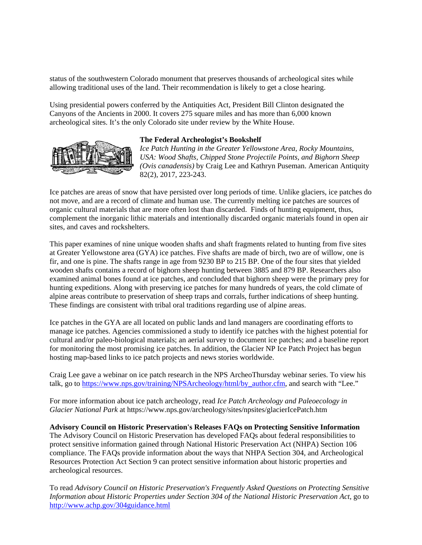status of the southwestern Colorado monument that preserves thousands of archeological sites while allowing traditional uses of the land. Their recommendation is likely to get a close hearing.

Using presidential powers conferred by the Antiquities Act, President Bill Clinton designated the Canyons of the Ancients in 2000. It covers 275 square miles and has more than 6,000 known archeological sites. It's the only Colorado site under review by the White House.



### **The Federal Archeologist's Bookshelf**

*Ice Patch Hunting in the Greater Yellowstone Area, Rocky Mountains, USA: Wood Shafts, Chipped Stone Projectile Points, and Bighorn Sheep (Ovis canadensis)* by Craig Lee and Kathryn Puseman. American Antiquity 82(2), 2017, 223-243.

Ice patches are areas of snow that have persisted over long periods of time. Unlike glaciers, ice patches do not move, and are a record of climate and human use. The currently melting ice patches are sources of organic cultural materials that are more often lost than discarded. Finds of hunting equipment, thus, complement the inorganic lithic materials and intentionally discarded organic materials found in open air sites, and caves and rockshelters.

This paper examines of nine unique wooden shafts and shaft fragments related to hunting from five sites at Greater Yellowstone area (GYA) ice patches. Five shafts are made of birch, two are of willow, one is fir, and one is pine. The shafts range in age from 9230 BP to 215 BP. One of the four sites that yielded wooden shafts contains a record of bighorn sheep hunting between 3885 and 879 BP. Researchers also examined animal bones found at ice patches, and concluded that bighorn sheep were the primary prey for hunting expeditions. Along with preserving ice patches for many hundreds of years, the cold climate of alpine areas contribute to preservation of sheep traps and corrals, further indications of sheep hunting. These findings are consistent with tribal oral traditions regarding use of alpine areas.

Ice patches in the GYA are all located on public lands and land managers are coordinating efforts to manage ice patches. Agencies commissioned a study to identify ice patches with the highest potential for cultural and/or paleo-biological materials; an aerial survey to document ice patches; and a baseline report for monitoring the most promising ice patches. In addition, the Glacier NP Ice Patch Project has begun hosting map-based links to ice patch projects and news stories worldwide.

Craig Lee gave a webinar on ice patch research in the NPS ArcheoThursday webinar series. To view his talk, go to [https://www.nps.gov/training/NPSArcheology/html/by\\_author.cfm,](https://www.nps.gov/training/NPSArcheology/html/by_author.cfm) and search with "Lee."

For more information about ice patch archeology, read *Ice Patch Archeology and Paleoecology in Glacier National Park* at https://www.nps.gov/archeology/sites/npsites/glacierIcePatch.htm

**Advisory Council on Historic Preservation's Releases FAQs on Protecting Sensitive Information** 

The Advisory Council on Historic Preservation has developed FAQs about federal responsibilities to protect sensitive information gained through National Historic Preservation Act (NHPA) Section 106 compliance. The FAQs provide information about the ways that NHPA Section 304, and Archeological Resources Protection Act Section 9 can protect sensitive information about historic properties and archeological resources.

To read *Advisory Council on Historic Preservation's Frequently Asked Questions on Protecting Sensitive Information about Historic Properties under Section 304 of the National Historic Preservation Act*, go to <http://www.achp.gov/304guidance.html>